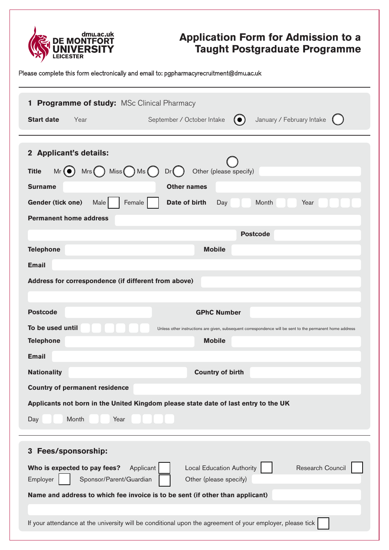

# **Application Form for Admission to a Taught Postgraduate Programme**

Please complete this form electronically and email to: pgpharmacyrecruitment@dmu.ac.uk

| <b>Programme of study: MSc Clinical Pharmacy</b><br>$\mathbf{1}$                                                                                                   |
|--------------------------------------------------------------------------------------------------------------------------------------------------------------------|
| January / February Intake<br><b>Start date</b><br>September / October Intake<br>$\left( \bullet \right)$<br>Year                                                   |
| 2 Applicant's details:                                                                                                                                             |
| $Mr(\bullet)$ Mrs $($ ) Miss $($ ) Ms $($ )<br>Other (please specify)<br><b>Title</b><br>Dr(                                                                       |
| <b>Surname</b><br><b>Other names</b>                                                                                                                               |
| Gender (tick one)<br>Female<br>Date of birth<br>Year<br>Male<br>Month<br>Day                                                                                       |
| <b>Permanent home address</b>                                                                                                                                      |
| <b>Postcode</b>                                                                                                                                                    |
| <b>Telephone</b><br><b>Mobile</b>                                                                                                                                  |
| <b>Email</b>                                                                                                                                                       |
| Address for correspondence (if different from above)                                                                                                               |
|                                                                                                                                                                    |
| <b>Postcode</b><br><b>GPhC Number</b>                                                                                                                              |
| To be used until<br>Unless other instructions are given, subsequent correspondence will be sent to the permanent home address                                      |
| <b>Telephone</b><br><b>Mobile</b><br><b>Email</b>                                                                                                                  |
| <b>Nationality</b><br><b>Country of birth</b>                                                                                                                      |
| <b>Country of permanent residence</b>                                                                                                                              |
| Applicants not born in the United Kingdom please state date of last entry to the UK                                                                                |
| Month<br>Year<br>Day                                                                                                                                               |
|                                                                                                                                                                    |
| Fees/sponsorship:<br>3                                                                                                                                             |
| Research Council<br>Who is expected to pay fees?<br>Applicant<br><b>Local Education Authority</b><br>Sponsor/Parent/Guardian<br>Other (please specify)<br>Employer |
| Name and address to which fee invoice is to be sent (if other than applicant)                                                                                      |
| If your attendance at the university will be conditional upon the agreement of your employer, please tick                                                          |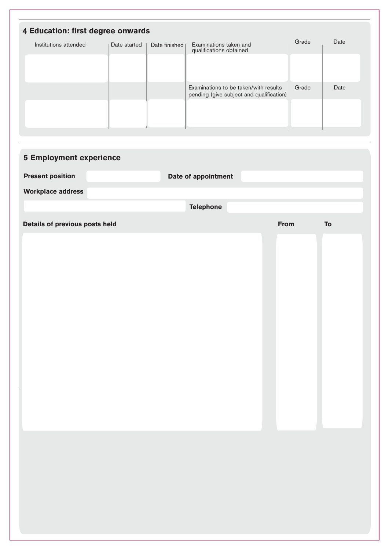|                                | 4 Education: first degree onwards |                 |                                                                                   | Grade | Date |
|--------------------------------|-----------------------------------|-----------------|-----------------------------------------------------------------------------------|-------|------|
| Institutions attended          | Date started                      | Date finished I | Examinations taken and<br>qualifications obtained                                 |       |      |
|                                |                                   |                 |                                                                                   |       |      |
|                                |                                   |                 |                                                                                   |       |      |
|                                |                                   |                 | Examinations to be taken/with results<br>pending (give subject and qualification) | Grade | Date |
|                                |                                   |                 |                                                                                   |       |      |
|                                |                                   |                 |                                                                                   |       |      |
|                                |                                   |                 |                                                                                   |       |      |
| <b>5 Employment experience</b> |                                   |                 |                                                                                   |       |      |
|                                |                                   |                 |                                                                                   |       |      |
| <b>Present position</b>        |                                   |                 | Date of appointment                                                               |       |      |
| <b>Workplace address</b>       |                                   |                 |                                                                                   |       |      |
|                                |                                   |                 |                                                                                   |       |      |

| Details of previous posts held | From | ${\bf T}{\bf o}$ |
|--------------------------------|------|------------------|
|                                |      |                  |
|                                |      |                  |
|                                |      |                  |
|                                |      |                  |
|                                |      |                  |
|                                |      |                  |
|                                |      |                  |
|                                |      |                  |
|                                |      |                  |
|                                |      |                  |
|                                |      |                  |
|                                |      |                  |
|                                |      |                  |
|                                |      |                  |
|                                |      |                  |
|                                |      |                  |
|                                |      |                  |
|                                |      |                  |
|                                |      |                  |
|                                |      |                  |
|                                |      |                  |
|                                |      |                  |
|                                |      |                  |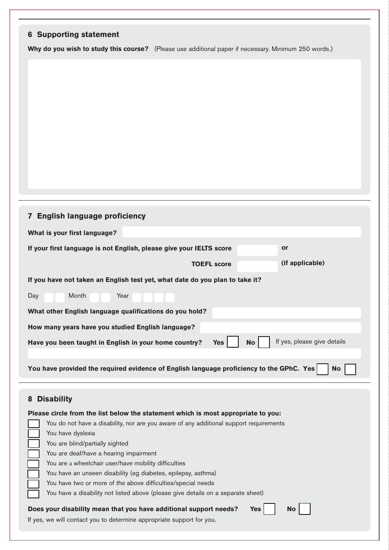| <b>6 Supporting statement</b>                                                                                                                                         |
|-----------------------------------------------------------------------------------------------------------------------------------------------------------------------|
| Why do you wish to study this course? (Please use additional paper if necessary. Minimum 250 words.)                                                                  |
|                                                                                                                                                                       |
|                                                                                                                                                                       |
|                                                                                                                                                                       |
|                                                                                                                                                                       |
|                                                                                                                                                                       |
|                                                                                                                                                                       |
|                                                                                                                                                                       |
|                                                                                                                                                                       |
|                                                                                                                                                                       |
|                                                                                                                                                                       |
| 7 English language proficiency                                                                                                                                        |
| What is your first language?                                                                                                                                          |
| If your first language is not English, please give your IELTS score<br><b>or</b>                                                                                      |
| (if applicable)<br><b>TOEFL score</b>                                                                                                                                 |
| If you have not taken an English test yet, what date do you plan to take it?                                                                                          |
| Month<br>Year<br>Day                                                                                                                                                  |
| What other English language qualifications do you hold?                                                                                                               |
| How many years have you studied English language?                                                                                                                     |
| If yes, please give details<br><b>No</b><br>Have you been taught in English in your home country?<br><b>Yes</b>                                                       |
|                                                                                                                                                                       |
| You have provided the required evidence of English language proficiency to the GPhC. Yes<br><b>No</b>                                                                 |
|                                                                                                                                                                       |
| <b>Disability</b><br>8                                                                                                                                                |
| Please circle from the list below the statement which is most appropriate to you:                                                                                     |
| You do not have a disability, nor are you aware of any additional support requirements                                                                                |
| You have dyslexia<br>You are blind/partially sighted                                                                                                                  |
| You are deaf/have a hearing impairment                                                                                                                                |
| You are a wheelchair user/have mobility difficulties<br>You have an unseen disability (eg diabetes, epilepsy, asthma)                                                 |
| You have two or more of the above difficulties/special needs                                                                                                          |
| You have a disability not listed above (please give details on a separate sheet)                                                                                      |
| Does your disability mean that you have additional support needs?<br><b>No</b><br><b>Yes</b><br>If yes, we will contact you to determine appropriate support for you. |
|                                                                                                                                                                       |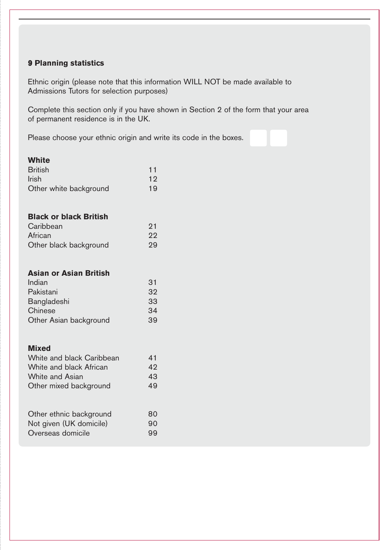## 9 **Planning statistics**

Ethnic origin (please note that this information WILL NOT be made available to Admissions Tutors for selection purposes)

Complete this section only if you have shown in Section 2 of the form that your area of permanent residence is in the UK.

Please choose your ethnic origin and write its code in the boxes.

| <b>White</b><br><b>British</b><br><b>Irish</b><br>Other white background                                                 | 11<br>12<br>19             |
|--------------------------------------------------------------------------------------------------------------------------|----------------------------|
| <b>Black or black British</b><br>Caribbean<br>African<br>Other black background                                          | 21<br>22<br>29             |
| <b>Asian or Asian British</b><br>Indian<br>Pakistani<br>Bangladeshi<br>Chinese<br>Other Asian background                 | 31<br>32<br>33<br>34<br>39 |
| <b>Mixed</b><br>White and black Caribbean<br>White and black African<br><b>White and Asian</b><br>Other mixed background | 41<br>42<br>43<br>49       |
| Other ethnic background<br>Not given (UK domicile)<br>Overseas domicile                                                  | 80<br>90<br>99             |